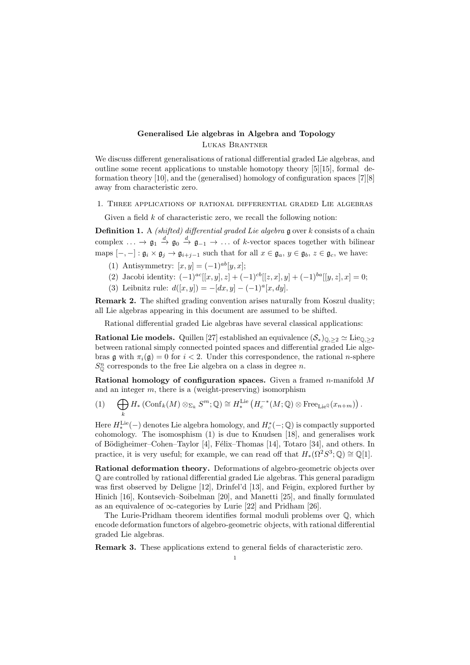## Generalised Lie algebras in Algebra and Topology Lukas Brantner

We discuss different generalisations of rational differential graded Lie algebras, and outline some recent applications to unstable homotopy theory [5][15], formal deformation theory [10], and the (generalised) homology of configuration spaces [7][8] away from characteristic zero.

1. Three applications of rational differential graded Lie algebras

Given a field  $k$  of characteristic zero, we recall the following notion:

**Definition 1.** A *(shifted) differential graded Lie algebra*  $\frak{g}$  over k consists of a chain complex  $\ldots \to \mathfrak{g}_1 \stackrel{d}{\to} \mathfrak{g}_0 \stackrel{d}{\to} \mathfrak{g}_{-1} \to \ldots$  of k-vector spaces together with bilinear maps  $[-,-]: \mathfrak{g}_i \times \mathfrak{g}_j \to \mathfrak{g}_{i+j-1}$  such that for all  $x \in \mathfrak{g}_a, y \in \mathfrak{g}_b, z \in \mathfrak{g}_c$ , we have:

(1) Antisymmetry:  $[x, y] = (-1)^{ab}[y, x]$ ;

- (2) Jacobi identity:  $(-1)^{ac}[[x, y], z] + (-1)^{cb}[[z, x], y] + (-1)^{ba}[[y, z], x] = 0;$
- (3) Leibnitz rule:  $d([x, y]) = -[dx, y] (-1)^a [x, dy].$

Remark 2. The shifted grading convention arises naturally from Koszul duality; all Lie algebras appearing in this document are assumed to be shifted.

Rational differential graded Lie algebras have several classical applications:

**Rational Lie models.** Quillen [27] established an equivalence  $(S_*)_{\mathbb{Q},\geq 2} \simeq \text{Lie}_{\mathbb{Q},\geq 2}$ between rational simply connected pointed spaces and differential graded Lie algebras g with  $\pi_i(\mathfrak{g}) = 0$  for  $i < 2$ . Under this correspondence, the rational *n*-sphere  $S_{\mathbb{O}}^n$  corresponds to the free Lie algebra on a class in degree n.

Rational homology of configuration spaces. Given a framed  $n$ -manifold  $M$ and an integer  $m$ , there is a (weight-preserving) isomorphism

 $(1)$   $\bigoplus$ k  $H_*\left(\text{Conf}_k(M) \otimes_{\Sigma_k} S^m; \mathbb{Q}\right) \cong H_*^{\text{Lie}}\left(H_c^{-*}(M; \mathbb{Q}) \otimes \text{Free}_{\text{Lie}^{\mathbb{Q}}}(x_{n+m})\right).$ 

Here  $H^{\text{Lie}}_*(-)$  denotes Lie algebra homology, and  $H^*_c(-;\mathbb{Q})$  is compactly supported cohomology. The isomosphism (1) is due to Knudsen [18], and generalises work of Bödigheimer–Cohen–Taylor [4], Félix–Thomas [14], Totaro [34], and others. In practice, it is very useful; for example, we can read off that  $H_*(\Omega^2 S^3; \mathbb{Q}) \cong \mathbb{Q}[1]$ .

Rational deformation theory. Deformations of algebro-geometric objects over Q are controlled by rational differential graded Lie algebras. This general paradigm was first observed by Deligne [12], Drinfel'd [13], and Feigin, explored further by Hinich [16], Kontsevich–Soibelman [20], and Manetti [25], and finally formulated as an equivalence of  $\infty$ -categories by Lurie [22] and Pridham [26].

The Lurie-Pridham theorem identifies formal moduli problems over Q, which encode deformation functors of algebro-geometric objects, with rational differential graded Lie algebras.

Remark 3. These applications extend to general fields of characteristic zero.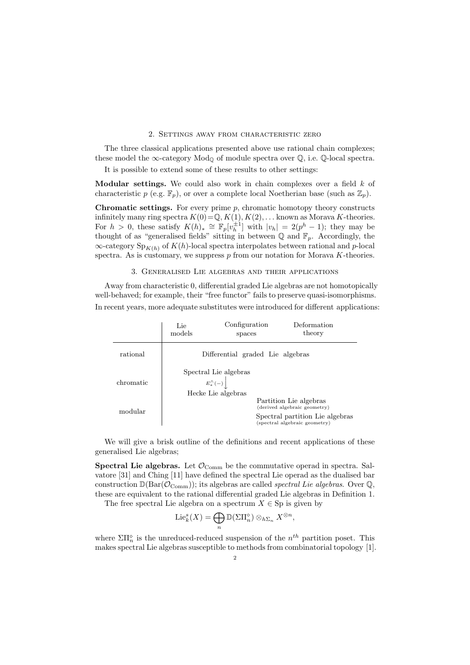## 2. Settings away from characteristic zero

The three classical applications presented above use rational chain complexes; these model the  $\infty$ -category Mod<sub>0</sub> of module spectra over  $\mathbb{Q}$ , i.e.  $\mathbb{Q}$ -local spectra.

It is possible to extend some of these results to other settings:

Modular settings. We could also work in chain complexes over a field  $k$  of characteristic p (e.g.  $\mathbb{F}_p$ ), or over a complete local Noetherian base (such as  $\mathbb{Z}_p$ ).

**Chromatic settings.** For every prime  $p$ , chromatic homotopy theory constructs infinitely many ring spectra  $K(0) = \mathbb{Q}, K(1), K(2), \ldots$  known as Morava K-theories. For  $h > 0$ , these satisfy  $K(h)_* \cong \mathbb{F}_p[v_h^{\pm 1}]$  with  $|v_h| = 2(p^h - 1)$ ; they may be thought of as "generalised fields" sitting in between  $\mathbb Q$  and  $\mathbb F_p$ . Accordingly, the  $\infty$ -category Sp<sub>K(h)</sub> of K(h)-local spectra interpolates between rational and p-local spectra. As is customary, we suppress  $p$  from our notation for Morava  $K$ -theories.

## 3. Generalised Lie algebras and their applications

Away from characteristic 0, differential graded Lie algebras are not homotopically well-behaved; for example, their "free functor" fails to preserve quasi-isomorphisms. In recent years, more adequate substitutes were introduced for different applications:

|           | Lie<br>models                                                    | Configuration<br>spaces | Deformation<br>theory                                            |
|-----------|------------------------------------------------------------------|-------------------------|------------------------------------------------------------------|
| rational  | Differential graded Lie algebras                                 |                         |                                                                  |
| chromatic | Spectral Lie algebras<br>$E_*^{\wedge}(-)$<br>Hecke Lie algebras |                         |                                                                  |
| modular   |                                                                  |                         | Partition Lie algebras<br>(derived algebraic geometry)           |
|           |                                                                  |                         | Spectral partition Lie algebras<br>(spectral algebraic geometry) |

We will give a brisk outline of the definitions and recent applications of these generalised Lie algebras;

**Spectral Lie algebras.** Let  $\mathcal{O}_{\text{Comm}}$  be the commutative operad in spectra. Salvatore [31] and Ching [11] have defined the spectral Lie operad as the dualised bar construction  $\mathbb{D}(\text{Bar}(\mathcal{O}_{\text{Comm}}));$  its algebras are called *spectral Lie algebras*. Over  $\mathbb{Q},$ these are equivalent to the rational differential graded Lie algebras in Definition 1.

The free spectral Lie algebra on a spectrum  $X \in \text{Sp}$  is given by

$$
\mathrm{Lie}_{k}^{s}(X)=\bigoplus_{n}\mathbb{D}(\Sigma\Pi_{n}^{\diamond})\otimes_{h\Sigma_{n}}X^{\otimes n},
$$

where  $\Sigma\Pi_n^{\diamond}$  is the unreduced-reduced suspension of the  $n^{th}$  partition poset. This makes spectral Lie algebras susceptible to methods from combinatorial topology [1].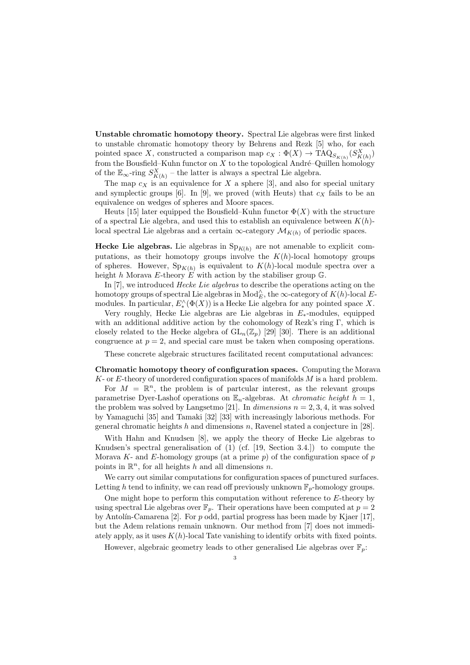Unstable chromatic homotopy theory. Spectral Lie algebras were first linked to unstable chromatic homotopy theory by Behrens and Rezk [5] who, for each pointed space X, constructed a comparison map  $c_X : \Phi(X) \to \text{TAQ}_{S_{K(h)}}(S_{K(h)}^X)$ from the Bousfield–Kuhn functor on  $X$  to the topological André–Quillen homology of the  $\mathbb{E}_{\infty}$ -ring  $S_{K(h)}^X$  – the latter is always a spectral Lie algebra.

The map  $c_X$  is an equivalence for X a sphere [3], and also for special unitary and symplectic groups [6]. In [9], we proved (with Heuts) that  $c<sub>X</sub>$  fails to be an equivalence on wedges of spheres and Moore spaces.

Heuts [15] later equipped the Bousfield–Kuhn functor  $\Phi(X)$  with the structure of a spectral Lie algebra, and used this to establish an equivalence between  $K(h)$ local spectral Lie algebras and a certain  $\infty$ -category  $\mathcal{M}_{K(h)}$  of periodic spaces.

Hecke Lie algebras. Lie algebras in  $Sp_{K(h)}$  are not amenable to explicit computations, as their homotopy groups involve the  $K(h)$ -local homotopy groups of spheres. However,  $Sp_{K(h)}$  is equivalent to  $K(h)$ -local module spectra over a height h Morava E-theory E with action by the stabiliser group  $\mathbb{G}$ .

In [7], we introduced *Hecke Lie algebras* to describe the operations acting on the homotopy groups of spectral Lie algebras in  $\text{Mod}_{E}^{\wedge}$ , the  $\infty$ -category of  $K(h)$ -local Emodules. In particular,  $E^{\wedge}_*(\Phi(X))$  is a Hecke Lie algebra for any pointed space X.

Very roughly, Hecke Lie algebras are Lie algebras in E∗-modules, equipped with an additional additive action by the cohomology of Rezk's ring Γ, which is closely related to the Hecke algebra of  $GL_n(\mathbb{Z}_p)$  [29] [30]. There is an additional congruence at  $p = 2$ , and special care must be taken when composing operations.

These concrete algebraic structures facilitated recent computational advances:

Chromatic homotopy theory of configuration spaces. Computing the Morava K- or E-theory of unordered configuration spaces of manifolds M is a hard problem.

For  $M = \mathbb{R}^n$ , the problem is of partcular interest, as the relevant groups parametrise Dyer-Lashof operations on  $\mathbb{E}_n$ -algebras. At *chromatic height*  $h = 1$ , the problem was solved by Langsetmo [21]. In dimensions  $n = 2, 3, 4$ , it was solved by Yamaguchi [35] and Tamaki [32] [33] with increasingly laborious methods. For general chromatic heights h and dimensions n, Ravenel stated a conjecture in [28].

With Hahn and Knudsen [8], we apply the theory of Hecke Lie algebras to Knudsen's spectral generalisation of (1) (cf. [19, Section 3.4.]) to compute the Morava  $K$ - and E-homology groups (at a prime p) of the configuration space of p points in  $\mathbb{R}^n$ , for all heights h and all dimensions n.

We carry out similar computations for configuration spaces of punctured surfaces. Letting h tend to infinity, we can read off previously unknown  $\mathbb{F}_p$ -homology groups.

One might hope to perform this computation without reference to  $E$ -theory by using spectral Lie algebras over  $\mathbb{F}_p$ . Their operations have been computed at  $p = 2$ by Antolín-Camarena [2]. For  $p$  odd, partial progress has been made by Kjaer [17], but the Adem relations remain unknown. Our method from [7] does not immediately apply, as it uses  $K(h)$ -local Tate vanishing to identify orbits with fixed points.

However, algebraic geometry leads to other generalised Lie algebras over  $\mathbb{F}_p$ :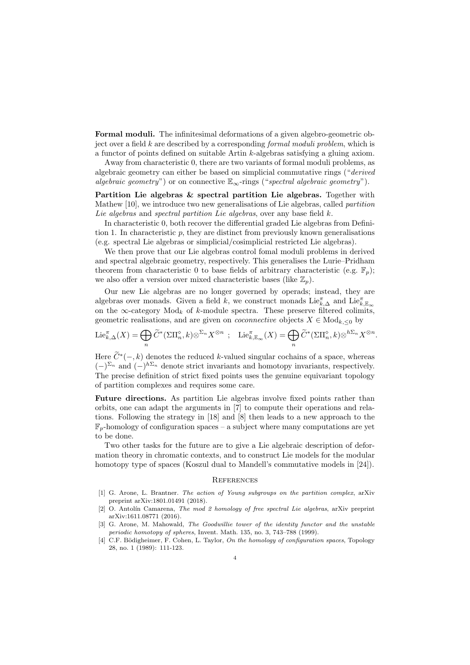Formal moduli. The infinitesimal deformations of a given algebro-geometric object over a field  $k$  are described by a corresponding *formal moduli problem*, which is a functor of points defined on suitable Artin k-algebras satisfying a gluing axiom.

Away from characteristic 0, there are two variants of formal moduli problems, as algebraic geometry can either be based on simplicial commutative rings ("derived algebraic geometry") or on connective  $\mathbb{E}_{\infty}$ -rings ("spectral algebraic geometry").

Partition Lie algebras  $\&$  spectral partition Lie algebras. Together with Mathew [10], we introduce two new generalisations of Lie algebras, called partition Lie algebras and spectral partition Lie algebras, over any base field  $k$ .

In characteristic 0, both recover the differential graded Lie algebras from Definition 1. In characteristic  $p$ , they are distinct from previously known generalisations (e.g. spectral Lie algebras or simplicial/cosimplicial restricted Lie algebras).

We then prove that our Lie algebras control fomal moduli problems in derived and spectral algebraic geometry, respectively. This generalises the Lurie–Pridham theorem from characteristic 0 to base fields of arbitrary characteristic (e.g.  $\mathbb{F}_p$ ); we also offer a version over mixed characteristic bases (like  $\mathbb{Z}_p$ ).

Our new Lie algebras are no longer governed by operads; instead, they are algebras over monads. Given a field k, we construct monads  $\text{Lie}_{k,\Delta}^{\pi}$  and  $\text{Lie}_{k,\mathbb{E}_{\infty}}^{\pi}$ on the  $\infty$ -category Mod<sub>k</sub> of k-module spectra. These preserve filtered colimits, geometric realisations, and are given on *coconnective* objects  $X \in Mod_{k, \leq 0}$  by

$$
\mathrm{Lie}_{k,\Delta}^{\pi}(X) = \bigoplus_{n} \widetilde{C}^{*}(\Sigma\Pi_{n}^{\diamond}, k) \otimes^{\Sigma_{n}} X^{\otimes n} \; ; \quad \mathrm{Lie}_{k,\mathbb{E}_{\infty}}^{\pi}(X) = \bigoplus_{n} \widetilde{C}^{*}(\Sigma\Pi_{n}^{\diamond}, k) \otimes^{h\Sigma_{n}} X^{\otimes n}.
$$

Here  $\widetilde{C}^*(-,k)$  denotes the reduced k-valued singular cochains of a space, whereas  $(-)^{\Sigma_n}$  and  $(-)^{h\Sigma_n}$  denote strict invariants and homotopy invariants, respectively. The precise definition of strict fixed points uses the genuine equivariant topology of partition complexes and requires some care.

Future directions. As partition Lie algebras involve fixed points rather than orbits, one can adapt the arguments in [7] to compute their operations and relations. Following the strategy in [18] and [8] then leads to a new approach to the  $\mathbb{F}_p$ -homology of configuration spaces – a subject where many computations are yet to be done.

Two other tasks for the future are to give a Lie algebraic description of deformation theory in chromatic contexts, and to construct Lie models for the modular homotopy type of spaces (Koszul dual to Mandell's commutative models in [24]).

## **REFERENCES**

- [1] G. Arone, L. Brantner. The action of Young subgroups on the partition complex, arXiv preprint arXiv:1801.01491 (2018).
- [2] O. Antolín Camarena, The mod 2 homology of free spectral Lie algebras, arXiv preprint arXiv:1611.08771 (2016).
- [3] G. Arone, M. Mahowald, The Goodwillie tower of the identity functor and the unstable periodic homotopy of spheres, Invent. Math. 135, no. 3, 743–788 (1999).
- [4] C.F. Bödigheimer, F. Cohen, L. Taylor, On the homology of configuration spaces, Topology 28, no. 1 (1989): 111-123.